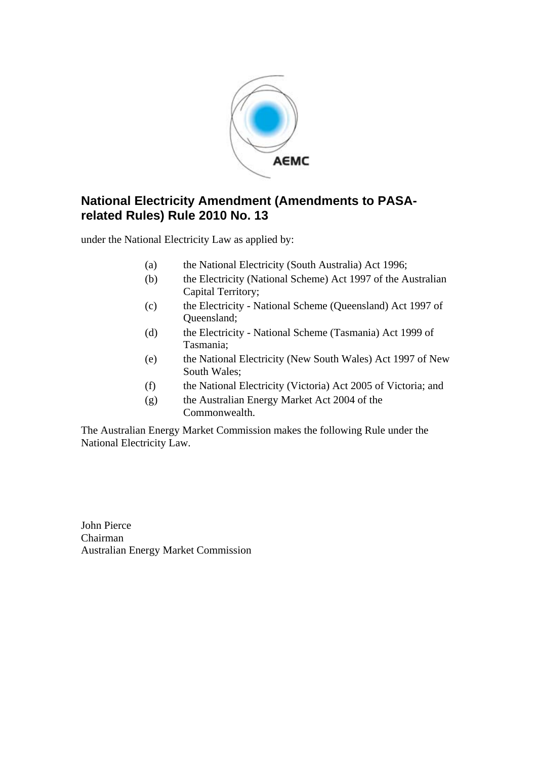

### **National Electricity Amendment (Amendments to PASArelated Rules) Rule 2010 No. 13**

under the National Electricity Law as applied by:

- (a) the National Electricity (South Australia) Act 1996;
- (b) the Electricity (National Scheme) Act 1997 of the Australian Capital Territory;
- (c) the Electricity National Scheme (Queensland) Act 1997 of Queensland;
- (d) the Electricity National Scheme (Tasmania) Act 1999 of Tasmania;
- (e) the National Electricity (New South Wales) Act 1997 of New South Wales;
- (f) the National Electricity (Victoria) Act 2005 of Victoria; and
- (g) the Australian Energy Market Act 2004 of the Commonwealth.

The Australian Energy Market Commission makes the following Rule under the National Electricity Law.

John Pierce Chairman Australian Energy Market Commission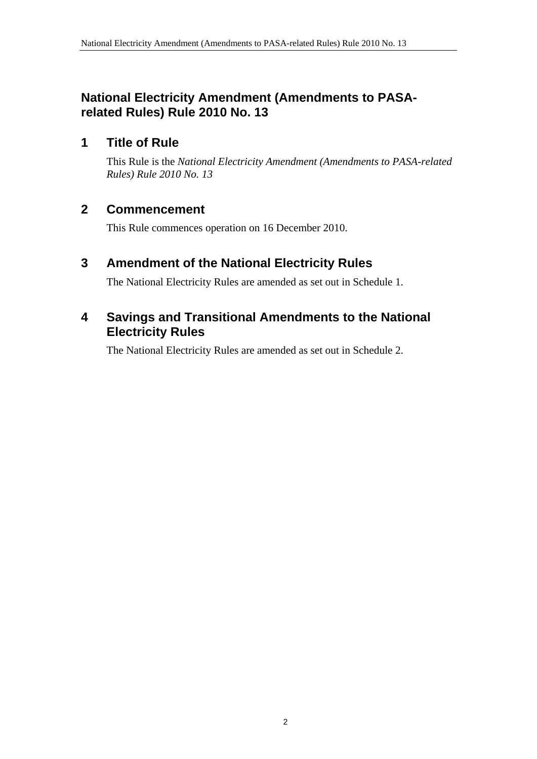### **National Electricity Amendment (Amendments to PASArelated Rules) Rule 2010 No. 13**

#### **1 Title of Rule**

This Rule is the *National Electricity Amendment (Amendments to PASA-related Rules) Rule 2010 No. 13*

### **2 Commencement**

This Rule commences operation on 16 December 2010.

### **3 Amendment of the National Electricity Rules**

The National Electricity Rules are amended as set out in Schedule 1.

#### **4 Savings and Transitional Amendments to the National Electricity Rules**

The National Electricity Rules are amended as set out in Schedule 2.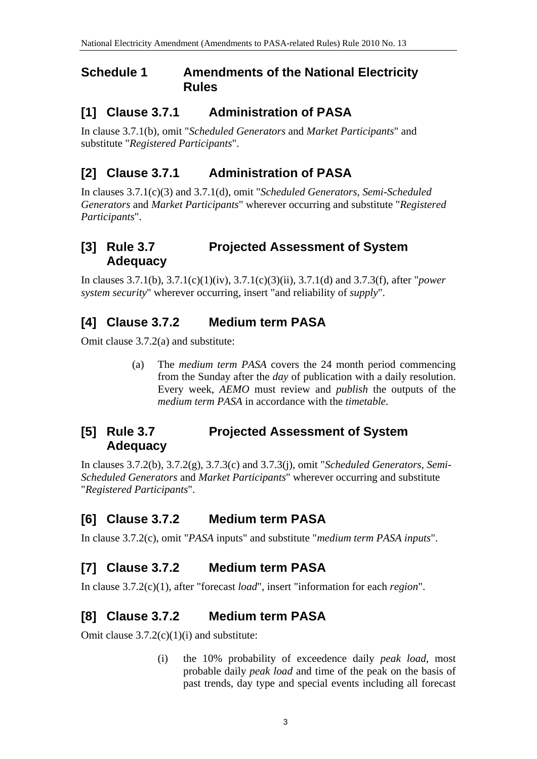#### **Schedule 1 Amendments of the National Electricity Rules**

### **[1] Clause 3.7.1 Administration of PASA**

In clause 3.7.1(b), omit "*Scheduled Generators* and *Market Participants*" and substitute "*Registered Participants*".

### **[2] Clause 3.7.1 Administration of PASA**

In clauses 3.7.1(c)(3) and 3.7.1(d), omit "*Scheduled Generators*, *Semi-Scheduled Generators* and *Market Participants*" wherever occurring and substitute "*Registered Participants*".

### **[3] Rule 3.7 Projected Assessment of System Adequacy**

In clauses 3.7.1(b), 3.7.1(c)(1)(iv), 3.7.1(c)(3)(ii), 3.7.1(d) and 3.7.3(f), after "*power system security*" wherever occurring, insert "and reliability of *supply*".

### **[4] Clause 3.7.2 Medium term PASA**

Omit clause 3.7.2(a) and substitute:

(a) The *medium term PASA* covers the 24 month period commencing from the Sunday after the *day* of publication with a daily resolution. Every week, *AEMO* must review and *publish* the outputs of the *medium term PASA* in accordance with the *timetable*.

### **[5] Rule 3.7 Projected Assessment of System Adequacy**

In clauses 3.7.2(b), 3.7.2(g), 3.7.3(c) and 3.7.3(j), omit "*Scheduled Generators*, *Semi-Scheduled Generators* and *Market Participants*" wherever occurring and substitute "*Registered Participants*".

### **[6] Clause 3.7.2 Medium term PASA**

In clause 3.7.2(c), omit "*PASA* inputs" and substitute "*medium term PASA inputs*".

### **[7] Clause 3.7.2 Medium term PASA**

In clause 3.7.2(c)(1), after "forecast *load*", insert "information for each *region*".

### **[8] Clause 3.7.2 Medium term PASA**

Omit clause 3.7.2(c)(1)(i) and substitute:

(i) the 10% probability of exceedence daily *peak load*, most probable daily *peak load* and time of the peak on the basis of past trends, day type and special events including all forecast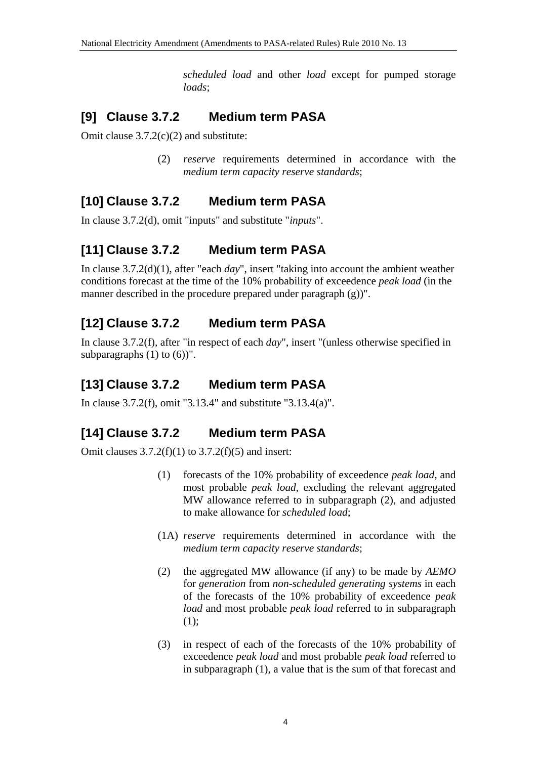*scheduled load* and other *load* except for pumped storage *loads*;

### **[9] Clause 3.7.2 Medium term PASA**

Omit clause 3.7.2(c)(2) and substitute:

(2) *reserve* requirements determined in accordance with the *medium term capacity reserve standards*;

## **[10] Clause 3.7.2 Medium term PASA**

In clause 3.7.2(d), omit "inputs" and substitute "*inputs*".

## **[11] Clause 3.7.2 Medium term PASA**

In clause 3.7.2(d)(1), after "each *day*", insert "taking into account the ambient weather conditions forecast at the time of the 10% probability of exceedence *peak load* (in the manner described in the procedure prepared under paragraph (g))".

## **[12] Clause 3.7.2 Medium term PASA**

In clause 3.7.2(f), after "in respect of each *day*", insert "(unless otherwise specified in subparagraphs  $(1)$  to  $(6)$ )".

## **[13] Clause 3.7.2 Medium term PASA**

In clause 3.7.2(f), omit "3.13.4" and substitute "3.13.4(a)".

## **[14] Clause 3.7.2 Medium term PASA**

Omit clauses  $3.7.2(f)(1)$  to  $3.7.2(f)(5)$  and insert:

- (1) forecasts of the 10% probability of exceedence *peak load*, and most probable *peak load*, excluding the relevant aggregated MW allowance referred to in subparagraph (2), and adjusted to make allowance for *scheduled load*;
- (1A) *reserve* requirements determined in accordance with the *medium term capacity reserve standards*;
- (2) the aggregated MW allowance (if any) to be made by *AEMO* for *generation* from *non-scheduled generating systems* in each of the forecasts of the 10% probability of exceedence *peak load* and most probable *peak load* referred to in subparagraph (1);
- (3) in respect of each of the forecasts of the 10% probability of exceedence *peak load* and most probable *peak load* referred to in subparagraph (1), a value that is the sum of that forecast and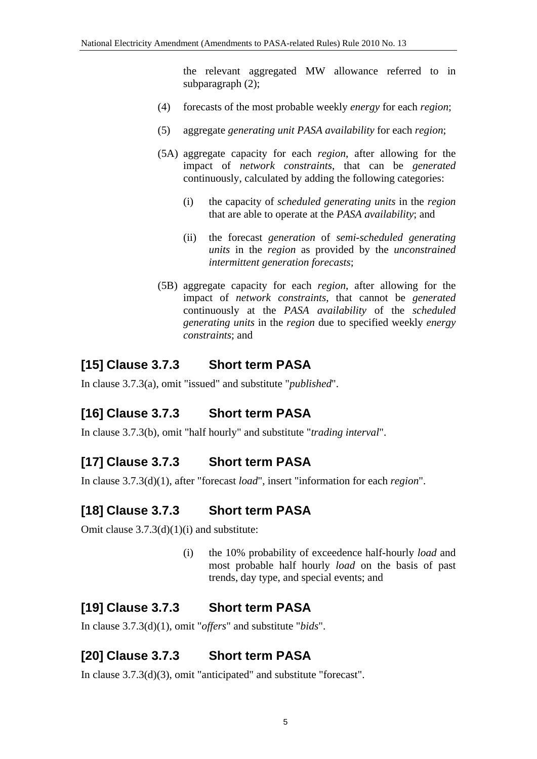the relevant aggregated MW allowance referred to in subparagraph  $(2)$ ;

- (4) forecasts of the most probable weekly *energy* for each *region*;
- (5) aggregate *generating unit PASA availability* for each *region*;
- (5A) aggregate capacity for each *region*, after allowing for the impact of *network constraints*, that can be *generated* continuously, calculated by adding the following categories:
	- (i) the capacity of *scheduled generating units* in the *region* that are able to operate at the *PASA availability*; and
	- (ii) the forecast *generation* of *semi-scheduled generating units* in the *region* as provided by the *unconstrained intermittent generation forecasts*;
- (5B) aggregate capacity for each *region*, after allowing for the impact of *network constraints*, that cannot be *generated* continuously at the *PASA availability* of the *scheduled generating units* in the *region* due to specified weekly *energy constraints*; and

## **[15] Clause 3.7.3 Short term PASA**

In clause 3.7.3(a), omit "issued" and substitute "*published*".

## **[16] Clause 3.7.3 Short term PASA**

In clause 3.7.3(b), omit "half hourly" and substitute "*trading interval*".

## **[17] Clause 3.7.3 Short term PASA**

In clause 3.7.3(d)(1), after "forecast *load*", insert "information for each *region*".

## **[18] Clause 3.7.3 Short term PASA**

Omit clause 3.7.3(d)(1)(i) and substitute:

(i) the 10% probability of exceedence half-hourly *load* and most probable half hourly *load* on the basis of past trends, day type, and special events; and

# **[19] Clause 3.7.3 Short term PASA**

In clause 3.7.3(d)(1), omit "*offers*" and substitute "*bids*".

# **[20] Clause 3.7.3 Short term PASA**

In clause 3.7.3(d)(3), omit "anticipated" and substitute "forecast".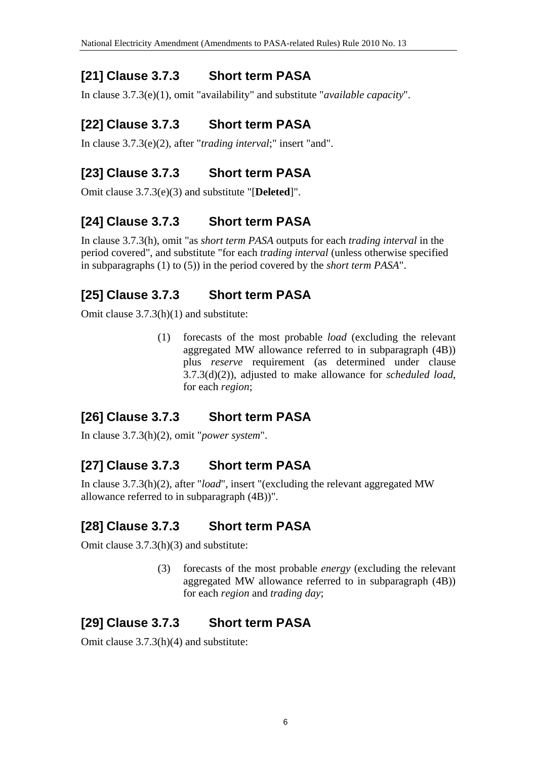## **[21] Clause 3.7.3 Short term PASA**

In clause 3.7.3(e)(1), omit "availability" and substitute "*available capacity*".

## **[22] Clause 3.7.3 Short term PASA**

In clause 3.7.3(e)(2), after "*trading interval*;" insert "and".

## **[23] Clause 3.7.3 Short term PASA**

Omit clause 3.7.3(e)(3) and substitute "[**Deleted**]".

## **[24] Clause 3.7.3 Short term PASA**

In clause 3.7.3(h), omit "as *short term PASA* outputs for each *trading interval* in the period covered", and substitute "for each *trading interval* (unless otherwise specified in subparagraphs (1) to (5)) in the period covered by the *short term PASA*".

## **[25] Clause 3.7.3 Short term PASA**

Omit clause 3.7.3(h)(1) and substitute:

(1) forecasts of the most probable *load* (excluding the relevant aggregated MW allowance referred to in subparagraph (4B)) plus *reserve* requirement (as determined under clause 3.7.3(d)(2)), adjusted to make allowance for *scheduled load*, for each *region*;

## **[26] Clause 3.7.3 Short term PASA**

In clause 3.7.3(h)(2), omit "*power system*".

## **[27] Clause 3.7.3 Short term PASA**

In clause 3.7.3(h)(2), after "*load*", insert "(excluding the relevant aggregated MW allowance referred to in subparagraph (4B))".

# **[28] Clause 3.7.3 Short term PASA**

Omit clause 3.7.3(h)(3) and substitute:

(3) forecasts of the most probable *energy* (excluding the relevant aggregated MW allowance referred to in subparagraph (4B)) for each *region* and *trading day*;

# **[29] Clause 3.7.3 Short term PASA**

Omit clause 3.7.3(h)(4) and substitute: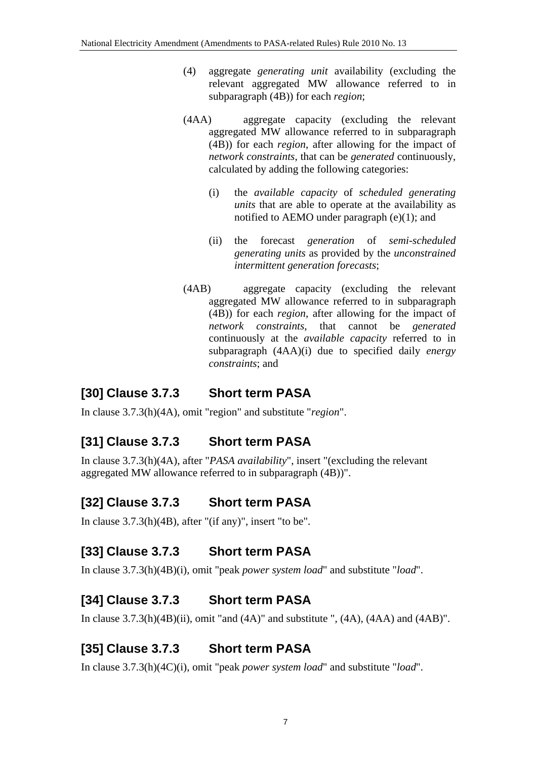- (4) aggregate *generating unit* availability (excluding the relevant aggregated MW allowance referred to in subparagraph (4B)) for each *region*;
- (4AA) aggregate capacity (excluding the relevant aggregated MW allowance referred to in subparagraph (4B)) for each *region*, after allowing for the impact of *network constraints*, that can be *generated* continuously, calculated by adding the following categories:
	- (i) the *available capacity* of *scheduled generating units* that are able to operate at the availability as notified to AEMO under paragraph (e)(1); and
	- (ii) the forecast *generation* of *semi-scheduled generating units* as provided by the *unconstrained intermittent generation forecasts*;
- (4AB) aggregate capacity (excluding the relevant aggregated MW allowance referred to in subparagraph (4B)) for each *region*, after allowing for the impact of *network constraints*, that cannot be *generated* continuously at the *available capacity* referred to in subparagraph (4AA)(i) due to specified daily *energy constraints*; and

## **[30] Clause 3.7.3 Short term PASA**

In clause 3.7.3(h)(4A), omit "region" and substitute "*region*".

## **[31] Clause 3.7.3 Short term PASA**

In clause 3.7.3(h)(4A), after "*PASA availability*", insert "(excluding the relevant aggregated MW allowance referred to in subparagraph (4B))".

# **[32] Clause 3.7.3 Short term PASA**

In clause 3.7.3(h)(4B), after "(if any)", insert "to be".

## **[33] Clause 3.7.3 Short term PASA**

In clause 3.7.3(h)(4B)(i), omit "peak *power system load*" and substitute "*load*".

### **[34] Clause 3.7.3 Short term PASA**

In clause  $3.7.3(h)(4B)(ii)$ , omit "and  $(4A)$ " and substitute ",  $(4A)$ ,  $(4AA)$  and  $(4AB)$ ".

## **[35] Clause 3.7.3 Short term PASA**

In clause 3.7.3(h)(4C)(i), omit "peak *power system load*" and substitute "*load*".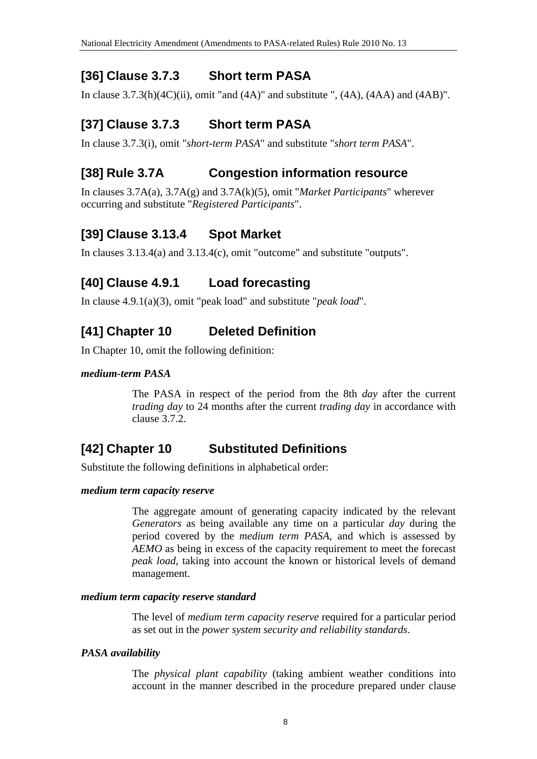### **[36] Clause 3.7.3 Short term PASA**

In clause  $3.7.3(h)(4C)(ii)$ , omit "and  $(4A)$ " and substitute ",  $(4A)$ ,  $(4AA)$  and  $(4AB)$ ".

## **[37] Clause 3.7.3 Short term PASA**

In clause 3.7.3(i), omit "*short-term PASA*" and substitute "*short term PASA*".

### **[38] Rule 3.7A Congestion information resource**

In clauses 3.7A(a), 3.7A(g) and 3.7A(k)(5), omit "*Market Participants*" wherever occurring and substitute "*Registered Participants*".

### **[39] Clause 3.13.4 Spot Market**

In clauses 3.13.4(a) and 3.13.4(c), omit "outcome" and substitute "outputs".

### **[40] Clause 4.9.1 Load forecasting**

In clause 4.9.1(a)(3), omit "peak load" and substitute "*peak load*".

## **[41] Chapter 10 Deleted Definition**

In Chapter 10, omit the following definition:

#### *medium-term PASA*

The PASA in respect of the period from the 8th *day* after the current *trading day* to 24 months after the current *trading day* in accordance with clause 3.7.2.

## **[42] Chapter 10 Substituted Definitions**

Substitute the following definitions in alphabetical order:

#### *medium term capacity reserve*

The aggregate amount of generating capacity indicated by the relevant *Generators* as being available any time on a particular *day* during the period covered by the *medium term PASA*, and which is assessed by *AEMO* as being in excess of the capacity requirement to meet the forecast *peak load*, taking into account the known or historical levels of demand management.

#### *medium term capacity reserve standard*

The level of *medium term capacity reserve* required for a particular period as set out in the *power system security and reliability standards*.

#### *PASA availability*

The *physical plant capability* (taking ambient weather conditions into account in the manner described in the procedure prepared under clause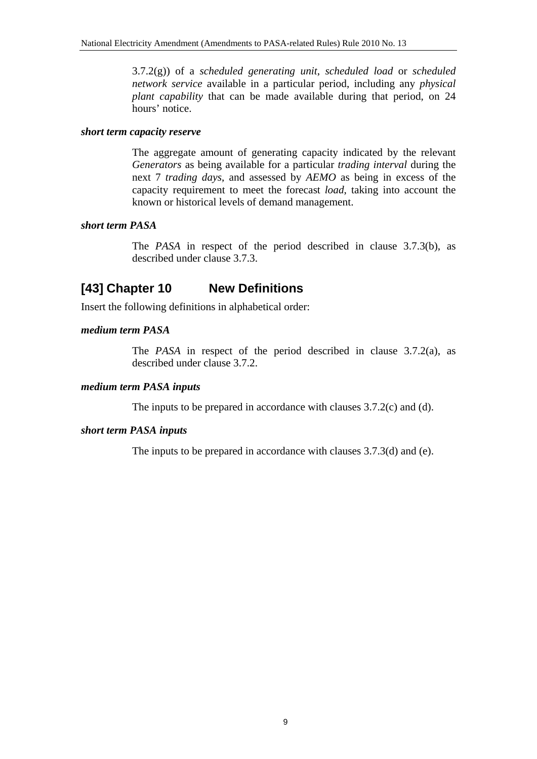3.7.2(g)) of a *scheduled generating unit*, *scheduled load* or *scheduled network service* available in a particular period, including any *physical plant capability* that can be made available during that period, on 24 hours' notice.

#### *short term capacity reserve*

The aggregate amount of generating capacity indicated by the relevant *Generators* as being available for a particular *trading interval* during the next 7 *trading days*, and assessed by *AEMO* as being in excess of the capacity requirement to meet the forecast *load*, taking into account the known or historical levels of demand management.

#### *short term PASA*

The *PASA* in respect of the period described in clause 3.7.3(b), as described under clause 3.7.3.

## **[43] Chapter 10 New Definitions**

Insert the following definitions in alphabetical order:

#### *medium term PASA*

The *PASA* in respect of the period described in clause 3.7.2(a), as described under clause 3.7.2.

#### *medium term PASA inputs*

The inputs to be prepared in accordance with clauses 3.7.2(c) and (d).

#### *short term PASA inputs*

The inputs to be prepared in accordance with clauses 3.7.3(d) and (e).